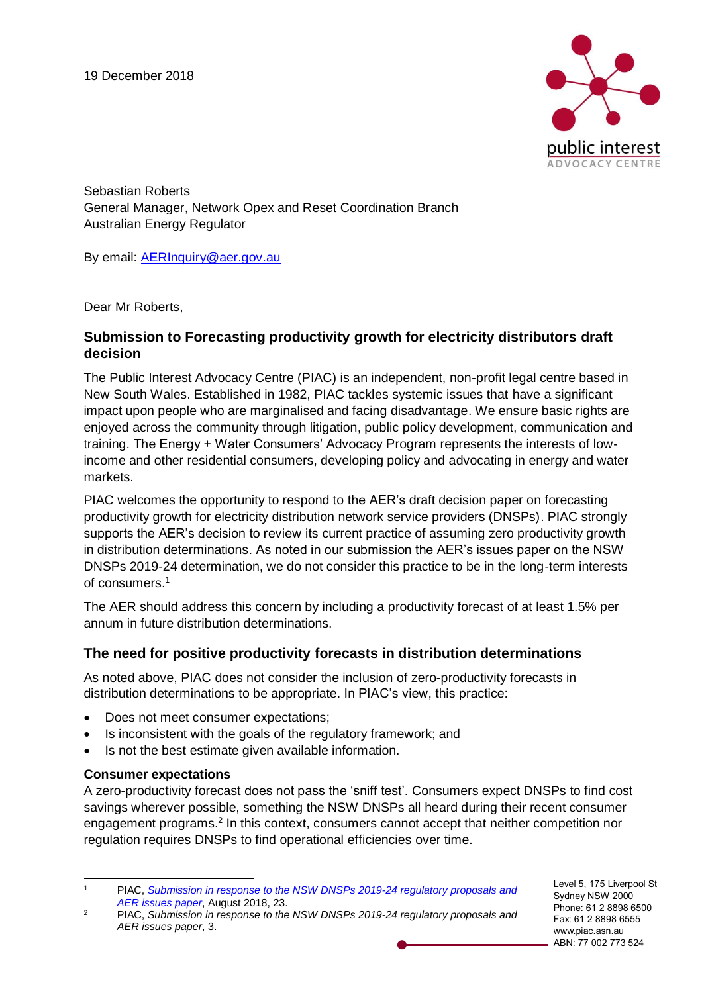

Sebastian Roberts General Manager, Network Opex and Reset Coordination Branch Australian Energy Regulator

By email: [AERInquiry@aer.gov.au](mailto:AERInquiry@aer.gov.au)

Dear Mr Roberts,

## **Submission to Forecasting productivity growth for electricity distributors draft decision**

The Public Interest Advocacy Centre (PIAC) is an independent, non-profit legal centre based in New South Wales. Established in 1982, PIAC tackles systemic issues that have a significant impact upon people who are marginalised and facing disadvantage. We ensure basic rights are enjoyed across the community through litigation, public policy development, communication and training. The Energy + Water Consumers' Advocacy Program represents the interests of lowincome and other residential consumers, developing policy and advocating in energy and water markets.

PIAC welcomes the opportunity to respond to the AER's draft decision paper on forecasting productivity growth for electricity distribution network service providers (DNSPs). PIAC strongly supports the AER's decision to review its current practice of assuming zero productivity growth in distribution determinations. As noted in our submission the AER's issues paper on the NSW DNSPs 2019-24 determination, we do not consider this practice to be in the long-term interests of consumers.<sup>1</sup>

The AER should address this concern by including a productivity forecast of at least 1.5% per annum in future distribution determinations.

## **The need for positive productivity forecasts in distribution determinations**

As noted above, PIAC does not consider the inclusion of zero-productivity forecasts in distribution determinations to be appropriate. In PIAC's view, this practice:

- Does not meet consumer expectations;
- Is inconsistent with the goals of the regulatory framework; and
- Is not the best estimate given available information.

## **Consumer expectations**

A zero-productivity forecast does not pass the 'sniff test'. Consumers expect DNSPs to find cost savings wherever possible, something the NSW DNSPs all heard during their recent consumer engagement programs.<sup>2</sup> In this context, consumers cannot accept that neither competition nor regulation requires DNSPs to find operational efficiencies over time.

Level 5, 175 Liverpool St Sydney NSW 2000 Phone: 61 2 8898 6500 Fax: 61 2 8898 6555 www.piac.asn.au ABN: 77 002 773 524

 $\overline{1}$ <sup>1</sup> PIAC, *[Submission in response to the NSW DNSPs 2019-24 regulatory proposals and](https://www.piac.asn.au/wp-content/uploads/2018/08/18.08.08_.PIAC-submission-in-response-to-NSW-DNSPs-AER-issues-paper.pdf)  [AER issues paper](https://www.piac.asn.au/wp-content/uploads/2018/08/18.08.08_.PIAC-submission-in-response-to-NSW-DNSPs-AER-issues-paper.pdf)*, August 2018, 23.

<sup>2</sup> PIAC, *Submission in response to the NSW DNSPs 2019-24 regulatory proposals and AER issues paper*, 3.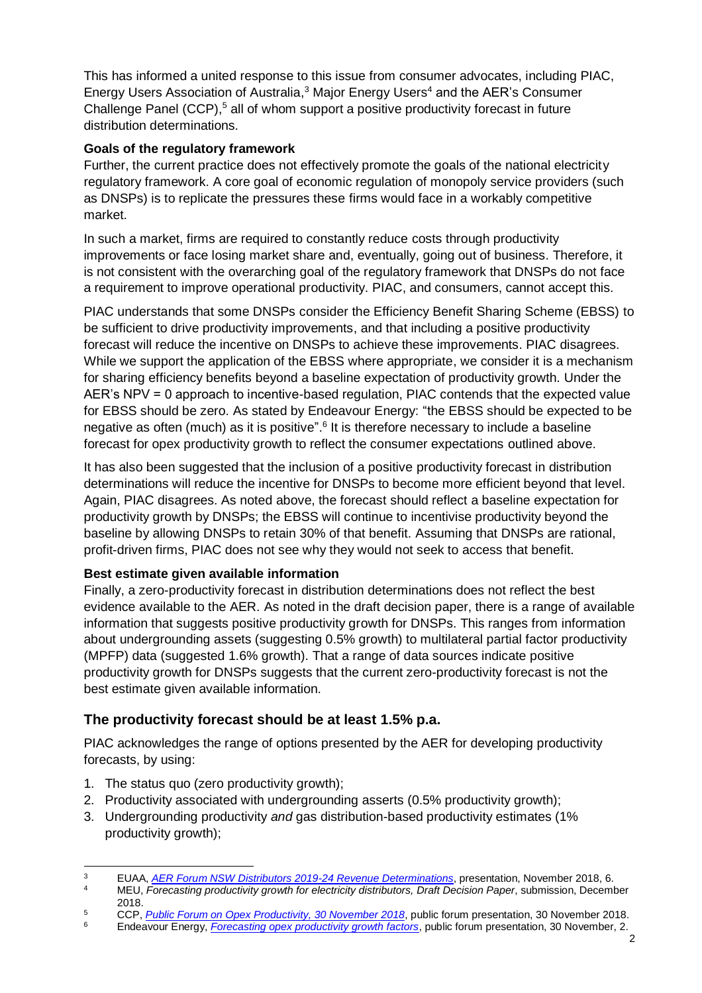This has informed a united response to this issue from consumer advocates, including PIAC, Energy Users Association of Australia,<sup>3</sup> Major Energy Users<sup>4</sup> and the AER's Consumer Challenge Panel (CCP),<sup>5</sup> all of whom support a positive productivity forecast in future distribution determinations.

## **Goals of the regulatory framework**

Further, the current practice does not effectively promote the goals of the national electricity regulatory framework. A core goal of economic regulation of monopoly service providers (such as DNSPs) is to replicate the pressures these firms would face in a workably competitive market.

In such a market, firms are required to constantly reduce costs through productivity improvements or face losing market share and, eventually, going out of business. Therefore, it is not consistent with the overarching goal of the regulatory framework that DNSPs do not face a requirement to improve operational productivity. PIAC, and consumers, cannot accept this.

PIAC understands that some DNSPs consider the Efficiency Benefit Sharing Scheme (EBSS) to be sufficient to drive productivity improvements, and that including a positive productivity forecast will reduce the incentive on DNSPs to achieve these improvements. PIAC disagrees. While we support the application of the EBSS where appropriate, we consider it is a mechanism for sharing efficiency benefits beyond a baseline expectation of productivity growth. Under the AER's NPV = 0 approach to incentive-based regulation, PIAC contends that the expected value for EBSS should be zero. As stated by Endeavour Energy: "the EBSS should be expected to be negative as often (much) as it is positive".<sup>6</sup> It is therefore necessary to include a baseline forecast for opex productivity growth to reflect the consumer expectations outlined above.

It has also been suggested that the inclusion of a positive productivity forecast in distribution determinations will reduce the incentive for DNSPs to become more efficient beyond that level. Again, PIAC disagrees. As noted above, the forecast should reflect a baseline expectation for productivity growth by DNSPs; the EBSS will continue to incentivise productivity beyond the baseline by allowing DNSPs to retain 30% of that benefit. Assuming that DNSPs are rational, profit-driven firms, PIAC does not see why they would not seek to access that benefit.

# **Best estimate given available information**

Finally, a zero-productivity forecast in distribution determinations does not reflect the best evidence available to the AER. As noted in the draft decision paper, there is a range of available information that suggests positive productivity growth for DNSPs. This ranges from information about undergrounding assets (suggesting 0.5% growth) to multilateral partial factor productivity (MPFP) data (suggested 1.6% growth). That a range of data sources indicate positive productivity growth for DNSPs suggests that the current zero-productivity forecast is not the best estimate given available information.

# **The productivity forecast should be at least 1.5% p.a.**

PIAC acknowledges the range of options presented by the AER for developing productivity forecasts, by using:

- 1. The status quo (zero productivity growth);
- 2. Productivity associated with undergrounding asserts (0.5% productivity growth);
- 3. Undergrounding productivity *and* gas distribution-based productivity estimates (1% productivity growth);

 $\overline{a}$ <sup>3</sup> EUAA, *[AER Forum NSW Distributors 2019-24 Revenue Determinations](https://www.aer.gov.au/system/files/Energy%20Users%20Association%20of%20Australia%20-%20Presentation%20to%20AER%20public%20forum%20-%20November%202018_1.pdf)*, presentation, November 2018, 6.

<sup>4</sup> MEU, *Forecasting productivity growth for electricity distributors, Draft Decision Paper*, submission, December 2018.

<sup>&</sup>lt;sup>5</sup> CCP, *[Public Forum on Opex Productivity, 30 November 2018](https://www.aer.gov.au/networks-pipelines/guidelines-schemes-models-reviews/review-of-our-approach-to-forecasting-opex-productivity-growth-for-electricity-distributors/initiation)*, public forum presentation, 30 November 2018.<br><sup>6</sup> Endeavour Foergy *Forecasting opex productivity growth factors* public forum presentation, 30 November 2

<sup>6</sup> Endeavour Energy, *[Forecasting opex productivity growth factors](https://www.aer.gov.au/networks-pipelines/guidelines-schemes-models-reviews/review-of-our-approach-to-forecasting-opex-productivity-growth-for-electricity-distributors/initiation)*, public forum presentation, 30 November, 2.